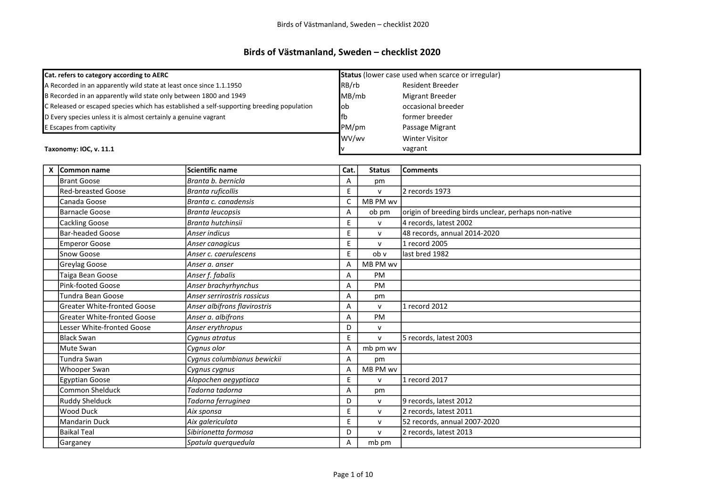## Birds of Västmanland, Sweden – checklist 2020

| Cat. refers to category according to AERC |                                                                     |                                                                                           |       | Status (lower case used when scarce or irregular) |                                                      |  |  |
|-------------------------------------------|---------------------------------------------------------------------|-------------------------------------------------------------------------------------------|-------|---------------------------------------------------|------------------------------------------------------|--|--|
|                                           | A Recorded in an apparently wild state at least once since 1.1.1950 |                                                                                           |       | RB/rb                                             | <b>Resident Breeder</b>                              |  |  |
|                                           | B Recorded in an apparently wild state only between 1800 and 1949   |                                                                                           | MB/mb |                                                   | <b>Migrant Breeder</b>                               |  |  |
|                                           |                                                                     | C Released or escaped species which has established a self-supporting breeding population | lob   |                                                   | occasional breeder                                   |  |  |
|                                           | D Every species unless it is almost certainly a genuine vagrant     |                                                                                           | lfb   |                                                   | former breeder                                       |  |  |
|                                           | E Escapes from captivity                                            |                                                                                           | PM/pm |                                                   | Passage Migrant                                      |  |  |
|                                           |                                                                     |                                                                                           | WV/wv |                                                   | <b>Winter Visitor</b>                                |  |  |
|                                           | Taxonomy: IOC, v. 11.1                                              |                                                                                           |       |                                                   | vagrant                                              |  |  |
|                                           |                                                                     |                                                                                           |       |                                                   |                                                      |  |  |
| x                                         | Common name                                                         | <b>Scientific name</b>                                                                    | Cat.  | <b>Status</b>                                     | <b>Comments</b>                                      |  |  |
|                                           | <b>Brant Goose</b>                                                  | Branta b. bernicla                                                                        | A     | pm                                                |                                                      |  |  |
|                                           | <b>Red-breasted Goose</b>                                           | Branta ruficollis                                                                         | E     | $\mathsf{V}$                                      | l2 records 1973                                      |  |  |
|                                           | Canada Goose                                                        | Branta c. canadensis                                                                      | C     | MB PM wv                                          |                                                      |  |  |
|                                           | <b>Barnacle Goose</b>                                               | Branta leucopsis                                                                          | Α     | ob pm                                             | origin of breeding birds unclear, perhaps non-native |  |  |
|                                           | <b>Cackling Goose</b>                                               | Branta hutchinsii                                                                         | E     | $\mathsf{v}$                                      | 4 records, latest 2002                               |  |  |
|                                           | <b>Bar-headed Goose</b>                                             | Anser indicus                                                                             | E     | $\mathsf{v}$                                      | 48 records, annual 2014-2020                         |  |  |
|                                           | <b>Emperor Goose</b>                                                | Anser canagicus                                                                           | E     | $\mathsf{v}$                                      | 1 record 2005                                        |  |  |
|                                           | Snow Goose                                                          | Anser c. caerulescens                                                                     | E     | ob v                                              | llast bred 1982                                      |  |  |
|                                           | Greylag Goose                                                       | Anser a. anser                                                                            | A     | MB PM wv                                          |                                                      |  |  |
|                                           | Taiga Bean Goose                                                    | Anser f. fabalis                                                                          | A     | <b>PM</b>                                         |                                                      |  |  |
|                                           | Pink-footed Goose                                                   | Anser brachyrhynchus                                                                      | A     | PM                                                |                                                      |  |  |
|                                           | Tundra Bean Goose                                                   | Anser serrirostris rossicus                                                               | A     | pm                                                |                                                      |  |  |
|                                           | <b>Greater White-fronted Goose</b>                                  | Anser albifrons flavirostris                                                              | A     | $\mathsf{V}$                                      | 1 record 2012                                        |  |  |
|                                           | <b>Greater White-fronted Goose</b>                                  | Anser a. albifrons                                                                        | Α     | <b>PM</b>                                         |                                                      |  |  |

| IGreater White-fronted Goose | Anser albifrons flavirostris | A  | v            | 11 record 2012               |
|------------------------------|------------------------------|----|--------------|------------------------------|
| Greater White-fronted Goose  | Anser a. albifrons           | A  | <b>PM</b>    |                              |
| Lesser White-fronted Goose   | Anser erythropus             | D  | $\mathsf{V}$ |                              |
| Black Swan                   | Cygnus atratus               | Ε  | v            | 5 records, latest 2003       |
| <b>Mute Swan</b>             | Cygnus olor                  | А  | mb pm wv     |                              |
| lTundra Swan                 | Cygnus columbianus bewickii  | A  | pm           |                              |
| Whooper Swan                 | Cygnus cygnus                | А  | MB PM wv     |                              |
| Egyptian Goose               | Alopochen aegyptiaca         | E  | $\mathsf{v}$ | 1 record 2017                |
| Common Shelduck              | Tadorna tadorna              | A  | pm           |                              |
| <b>Ruddy Shelduck</b>        | Tadorna ferruginea           | D  | $\mathsf{v}$ | 9 records, latest 2012       |
| Wood Duck                    | Aix sponsa                   | E. | $\mathsf{v}$ | 2 records, latest 2011       |
| Mandarin Duck                | Aix galericulata             | E  | $\mathsf{v}$ | 52 records, annual 2007-2020 |
| <b>Baikal Teal</b>           | Sibirionetta formosa         | D  | $\mathsf{v}$ | 2 records, latest 2013       |
| Garganey                     | Spatula querquedula          | A  | mb pm        |                              |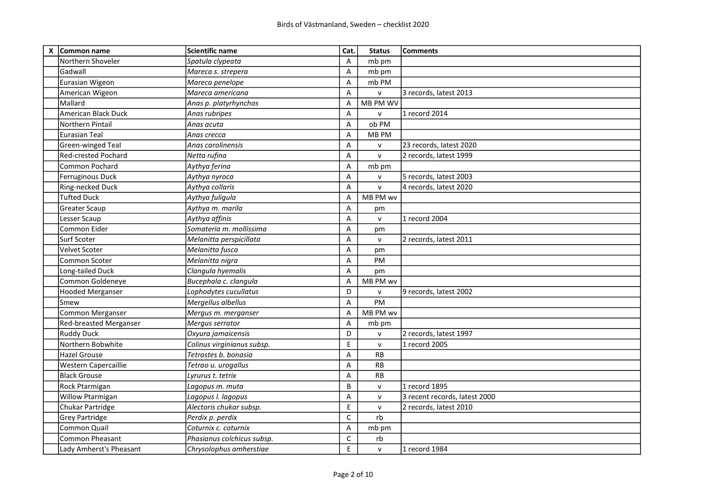| X Common name               | <b>Scientific name</b>     | Cat.         | <b>Status</b> | Comments                      |
|-----------------------------|----------------------------|--------------|---------------|-------------------------------|
| Northern Shoveler           | Spatula clypeata           | A            | mb pm         |                               |
| Gadwall                     | Mareca s. strepera         | A            | mb pm         |                               |
| Eurasian Wigeon             | Mareca penelope            | Α            | mb PM         |                               |
| American Wigeon             | Mareca americana           | A            | $\mathsf{v}$  | 3 records, latest 2013        |
| Mallard                     | Anas p. platyrhynchos      | A            | MB PM WV      |                               |
| American Black Duck         | Anas rubripes              | Α            | $\mathsf{v}$  | 1 record 2014                 |
| lNorthern Pintail           | Anas acuta                 | Α            | ob PM         |                               |
| lEurasian Teal              | Anas crecca                | A            | MB PM         |                               |
| Green-winged Teal           | Anas carolinensis          | Α            | $\mathsf{v}$  | 23 records, latest 2020       |
| <b>Red-crested Pochard</b>  | Netta rufina               | Α            | $\mathsf{v}$  | 2 records, latest 1999        |
| <b>Common Pochard</b>       | Aythya ferina              | A            | mb pm         |                               |
| Ferruginous Duck            | Aythya nyroca              | Α            | $\mathsf{v}$  | 5 records, latest 2003        |
| Ring-necked Duck            | Aythya collaris            | A            | $\mathsf{v}$  | 4 records, latest 2020        |
| <b>Tufted Duck</b>          | Aythya fuligula            | A            | MB PM wv      |                               |
| Greater Scaup               | Aythya m. marila           | Α            | pm            |                               |
| Lesser Scaup                | Aythya affinis             | Α            | $\mathsf{v}$  | 1 record 2004                 |
| Common Eider                | Somateria m. mollissima    | Α            | pm            |                               |
| Surf Scoter                 | Melanitta perspicillata    | Α            | $\mathsf{v}$  | 2 records, latest 2011        |
| <b>Velvet Scoter</b>        | Melanitta fusca            | A            | pm            |                               |
| Common Scoter               | Melanitta nigra            | A            | PM            |                               |
| Long-tailed Duck            | Clangula hyemalis          | Α            | pm            |                               |
| Common Goldeneye            | Bucephala c. clangula      | Α            | MB PM wv      |                               |
| Hooded Merganser            | Lophodytes cucullatus      | D            | $\mathsf{v}$  | 9 records, latest 2002        |
| Smew                        | Mergellus albellus         | A            | PM            |                               |
| Common Merganser            | Mergus m. merganser        | $\mathsf A$  | MB PM wv      |                               |
| Red-breasted Merganser      | Mergus serrator            | A            | mb pm         |                               |
| <b>Ruddy Duck</b>           | Oxyura jamaicensis         | D            | $\mathsf{V}$  | 2 records, latest 1997        |
| Northern Bobwhite           | Colinus virginianus subsp. | E            | $\mathsf{v}$  | 1 record 2005                 |
| <b>Hazel Grouse</b>         | Tetrastes b. bonasia       | A            | <b>RB</b>     |                               |
| <b>Western Capercaillie</b> | Tetrao u. urogallus        | Α            | RB            |                               |
| <b>Black Grouse</b>         | Lyrurus t. tetrix          | Α            | RB            |                               |
| Rock Ptarmigan              | Lagopus m. muta            | B            | $\mathsf{v}$  | 1 record 1895                 |
| <b>Willow Ptarmigan</b>     | Lagopus I. lagopus         | Α            | $\mathsf{v}$  | 3 recent records, latest 2000 |
| Chukar Partridge            | Alectoris chukar subsp.    | E            | ${\sf v}$     | 2 records, latest 2010        |
| <b>Grey Partridge</b>       | Perdix p. perdix           | $\mathsf C$  | rb            |                               |
| Common Quail                | Coturnix c. coturnix       | $\mathsf A$  | mb pm         |                               |
| <b>Common Pheasant</b>      | Phasianus colchicus subsp. | $\mathsf{C}$ | rb            |                               |
| Lady Amherst's Pheasant     | Chrysolophus amherstiae    | E            | $\mathsf{v}$  | 1 record 1984                 |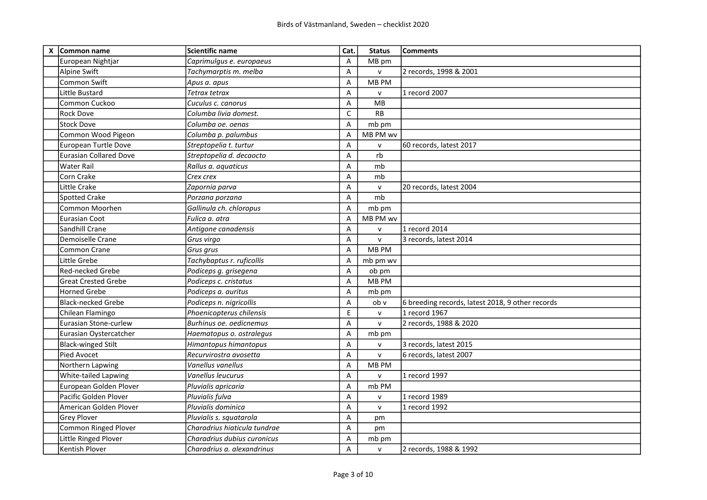| X | Common name                   | <b>Scientific name</b>       | Cat.                      | <b>Status</b> | <b>Comments</b>                                  |
|---|-------------------------------|------------------------------|---------------------------|---------------|--------------------------------------------------|
|   | European Nightjar             | Caprimulgus e. europaeus     | Α                         | MB pm         |                                                  |
|   | Alpine Swift                  | Tachymarptis m. melba        | Α                         | v             | 2 records, 1998 & 2001                           |
|   | Common Swift                  | Apus a. apus                 | $\overline{A}$            | MB PM         |                                                  |
|   | Little Bustard                | Tetrax tetrax                | Α                         | ${\sf v}$     | 1 record 2007                                    |
|   | Common Cuckoo                 | Cuculus c. canorus           | Α                         | <b>MB</b>     |                                                  |
|   | Rock Dove                     | Columba livia domest.        | $\mathsf{C}$              | <b>RB</b>     |                                                  |
|   | <b>Stock Dove</b>             | Columba oe. oenas            | Α                         | mb pm         |                                                  |
|   | Common Wood Pigeon            | Columba p. palumbus          | A                         | MB PM wv      |                                                  |
|   | European Turtle Dove          | Streptopelia t. turtur       | Α                         | ${\sf v}$     | 60 records, latest 2017                          |
|   | <b>Eurasian Collared Dove</b> | Streptopelia d. decaocto     | Α                         | rb            |                                                  |
|   | Water Rail                    | Rallus a. aquaticus          | Α                         | mb            |                                                  |
|   | Corn Crake                    | Crex crex                    | Α                         | mb            |                                                  |
|   | Little Crake                  | Zapornia parva               | Α                         | $\mathsf{v}$  | 20 records, latest 2004                          |
|   | <b>Spotted Crake</b>          | Porzana porzana              | A                         | mb            |                                                  |
|   | Common Moorhen                | Gallinula ch. chloropus      | A                         | mb pm         |                                                  |
|   | Eurasian Coot                 | Fulica a. atra               | Α                         | MB PM wv      |                                                  |
|   | Sandhill Crane                | Antigone canadensis          | Α                         | $\mathsf{v}$  | 1 record 2014                                    |
|   | Demoiselle Crane              | Grus virgo                   | Α                         | $\mathsf{V}$  | 3 records, latest 2014                           |
|   | <b>Common Crane</b>           | Grus grus                    | $\overline{A}$            | MB PM         |                                                  |
|   | Little Grebe                  | Tachybaptus r. ruficollis    | Α                         | mb pm wv      |                                                  |
|   | Red-necked Grebe              | Podiceps g. grisegena        | $\overline{A}$            | ob pm         |                                                  |
|   | <b>Great Crested Grebe</b>    | Podiceps c. cristatus        | A                         | MB PM         |                                                  |
|   | Horned Grebe                  | Podiceps a. auritus          | A                         | mb pm         |                                                  |
|   | <b>Black-necked Grebe</b>     | Podiceps n. nigricollis      | Α                         | ob v          | 6 breeding records, latest 2018, 9 other records |
|   | Chilean Flamingo              | Phoenicopterus chilensis     | E                         | $\mathsf{v}$  | 1 record 1967                                    |
|   | Eurasian Stone-curlew         | Burhinus oe. oedicnemus      | $\boldsymbol{\mathsf{A}}$ | $\mathsf{v}$  | 2 records, 1988 & 2020                           |
|   | Eurasian Oystercatcher        | Haematopus o. ostralegus     | $\overline{A}$            | mb pm         |                                                  |
|   | <b>Black-winged Stilt</b>     | Himantopus himantopus        | Α                         | v             | 3 records, latest 2015                           |
|   | Pied Avocet                   | Recurvirostra avosetta       | Α                         | $\mathsf{v}$  | 6 records, latest 2007                           |
|   | Northern Lapwing              | Vanellus vanellus            | Α                         | MB PM         |                                                  |
|   | White-tailed Lapwing          | Vanellus leucurus            | Α                         | v             | 1 record 1997                                    |
|   | European Golden Plover        | Pluvialis apricaria          | A                         | mb PM         |                                                  |
|   | Pacific Golden Plover         | Pluvialis fulva              | Α                         | ${\sf V}$     | 1 record 1989                                    |
|   | American Golden Plover        | Pluvialis dominica           | Α                         | ${\sf v}$     | 1 record 1992                                    |
|   | <b>Grey Plover</b>            | Pluvialis s. squatarola      | Α                         | pm            |                                                  |
|   | Common Ringed Plover          | Charadrius hiaticula tundrae | Α                         | pm            |                                                  |
|   | Little Ringed Plover          | Charadrius dubius curonicus  | Α                         | mb pm         |                                                  |
|   | Kentish Plover                | Charadrius a. alexandrinus   | A                         | $\mathsf{V}$  | 2 records, 1988 & 1992                           |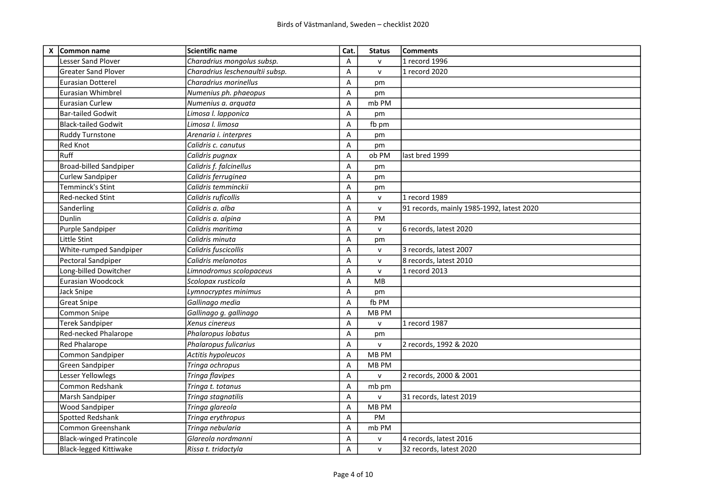| X Common name                  | <b>Scientific name</b>          | Cat.                      | <b>Status</b> | <b>Comments</b>                           |
|--------------------------------|---------------------------------|---------------------------|---------------|-------------------------------------------|
| <b>Lesser Sand Plover</b>      | Charadrius mongolus subsp.      | A                         | $\mathsf{v}$  | 1 record 1996                             |
| <b>Greater Sand Plover</b>     | Charadrius leschenaultii subsp. | $\overline{A}$            | $\mathsf{v}$  | 1 record 2020                             |
| <b>Eurasian Dotterel</b>       | Charadrius morinellus           | A                         | pm            |                                           |
| lEurasian Whimbrel             | Numenius ph. phaeopus           | $\overline{A}$            | pm            |                                           |
| lEurasian Curlew               | Numenius a. arquata             | $\overline{A}$            | mb PM         |                                           |
| Bar-tailed Godwit              | Limosa I. lapponica             | Α                         | pm            |                                           |
| Black-tailed Godwit            | Limosa I. limosa                | $\overline{A}$            | fb pm         |                                           |
| <b>Ruddy Turnstone</b>         | Arenaria i. interpres           | $\overline{A}$            | pm            |                                           |
| <b>Red Knot</b>                | Calidris c. canutus             | Α                         | pm            |                                           |
| Ruff                           | Calidris pugnax                 | $\overline{A}$            | ob PM         | last bred 1999                            |
| Broad-billed Sandpiper         | Calidris f. falcinellus         | Α                         | pm            |                                           |
| Curlew Sandpiper               | Calidris ferruginea             | $\boldsymbol{\mathsf{A}}$ | pm            |                                           |
| Temminck's Stint               | Calidris temminckii             | $\overline{A}$            | pm            |                                           |
| <b>Red-necked Stint</b>        | Calidris ruficollis             | A                         | $\mathsf{V}$  | 1 record 1989                             |
| Sanderling                     | Calidris a. alba                | A                         | $\mathsf{V}$  | 91 records, mainly 1985-1992, latest 2020 |
| Dunlin                         | Calidris a. alpina              | A                         | PM            |                                           |
| Purple Sandpiper               | Calidris maritima               | A                         | $\mathsf{v}$  | 6 records, latest 2020                    |
| Little Stint                   | Calidris minuta                 | Α                         | pm            |                                           |
| <b>White-rumped Sandpiper</b>  | Calidris fuscicollis            | A                         | ${\sf V}$     | 3 records, latest 2007                    |
| Pectoral Sandpiper             | Calidris melanotos              | A                         | $\mathsf{V}$  | 8 records, latest 2010                    |
| Long-billed Dowitcher          | Limnodromus scolopaceus         | A                         | $\mathsf{V}$  | 1 record 2013                             |
| Eurasian Woodcock              | Scolopax rusticola              | Α                         | MB            |                                           |
| Jack Snipe                     | Lymnocryptes minimus            | A                         | pm            |                                           |
| <b>Great Snipe</b>             | Gallinago media                 | $\overline{A}$            | fb PM         |                                           |
| Common Snipe                   | Gallinago g. gallinago          | A                         | MB PM         |                                           |
| <b>Terek Sandpiper</b>         | Xenus cinereus                  | $\overline{A}$            | $\mathsf{v}$  | 1 record 1987                             |
| Red-necked Phalarope           | Phalaropus lobatus              | Α                         | pm            |                                           |
| <b>Red Phalarope</b>           | Phalaropus fulicarius           | A                         | $\mathsf{v}$  | 2 records, 1992 & 2020                    |
| Common Sandpiper               | Actitis hypoleucos              | $\overline{A}$            | <b>MB PM</b>  |                                           |
| Green Sandpiper                | Tringa ochropus                 | Α                         | MB PM         |                                           |
| Lesser Yellowlegs              | Tringa flavipes                 | Α                         | $\mathsf{v}$  | 2 records, 2000 & 2001                    |
| Common Redshank                | Tringa t. totanus               | $\overline{A}$            | mb pm         |                                           |
| Marsh Sandpiper                | Tringa stagnatilis              | Α                         | $\mathsf{v}$  | 31 records, latest 2019                   |
| <b>Wood Sandpiper</b>          | Tringa glareola                 | $\overline{A}$            | MB PM         |                                           |
| Spotted Redshank               | Tringa erythropus               | Α                         | PM            |                                           |
| <b>Common Greenshank</b>       | Tringa nebularia                | $\overline{A}$            | mb PM         |                                           |
| <b>Black-winged Pratincole</b> | Glareola nordmanni              | Α                         | ${\sf V}$     | 4 records, latest 2016                    |
| Black-legged Kittiwake         | Rissa t. tridactyla             | A                         | $\mathsf{V}$  | 32 records, latest 2020                   |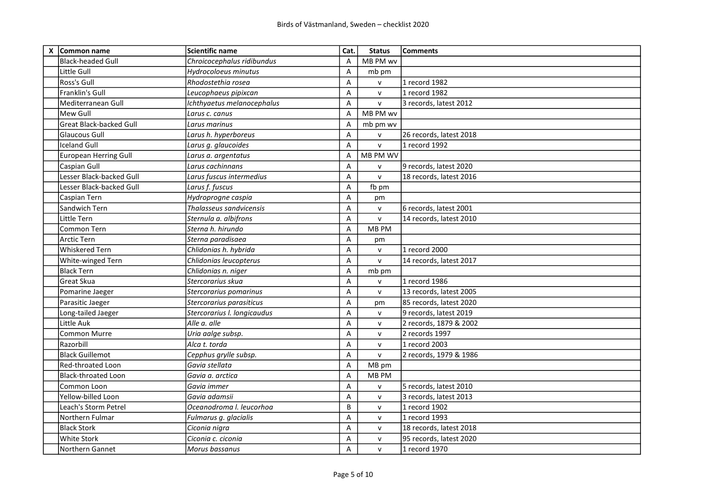| X Common name            | <b>Scientific name</b>      | Cat.           | <b>Status</b> | <b>Comments</b>         |
|--------------------------|-----------------------------|----------------|---------------|-------------------------|
| lBlack-headed Gull       | Chroicocephalus ridibundus  | A              | MB PM wv      |                         |
| Little Gull              | Hydrocoloeus minutus        | A              | mb pm         |                         |
| Ross's Gull              | Rhodostethia rosea          | A              | $\mathsf{v}$  | 1 record 1982           |
| Franklin's Gull          | Leucophaeus pipixcan        | A              | $\mathsf{v}$  | 1 record 1982           |
| Mediterranean Gull       | Ichthyaetus melanocephalus  | A              | $\mathsf{v}$  | 3 records, latest 2012  |
| lMew Gull                | Larus c. canus              | $\overline{A}$ | MB PM wv      |                         |
| Great Black-backed Gull  | Larus marinus               | A              | mb pm wv      |                         |
| lGlaucous Gull           | Larus h. hyperboreus        | A              | $\mathsf{v}$  | 26 records, latest 2018 |
| Iceland Gull             | Larus g. glaucoides         | A              | $\mathsf{v}$  | 1 record 1992           |
| European Herring Gull    | Larus a. argentatus         | A              | MB PM WV      |                         |
| Caspian Gull             | Larus cachinnans            | A              | $\mathsf{v}$  | 9 records, latest 2020  |
| Lesser Black-backed Gull | Larus fuscus intermedius    | A              | $\mathsf{v}$  | 18 records, latest 2016 |
| Lesser Black-backed Gull | Larus f. fuscus             | A              | fb pm         |                         |
| Caspian Tern             | Hydroprogne caspia          | $\mathsf A$    | pm            |                         |
| Sandwich Tern            | Thalasseus sandvicensis     | A              | $\mathsf{v}$  | 6 records, latest 2001  |
| Little Tern              | Sternula a. albifrons       | Α              | $\mathsf{v}$  | 14 records, latest 2010 |
| Common Tern              | Sterna h. hirundo           | Α              | MB PM         |                         |
| <b>Arctic Tern</b>       | Sterna paradisaea           | A              | pm            |                         |
| <b>Whiskered Tern</b>    | Chlidonias h. hybrida       | Α              | $\mathsf{V}$  | 1 record 2000           |
| White-winged Tern        | Chlidonias leucopterus      | Α              | $\mathsf{v}$  | 14 records, latest 2017 |
| Black Tern               | Chlidonias n. niger         | A              | mb pm         |                         |
| Great Skua               | Stercorarius skua           | A              | $\mathsf{v}$  | 1 record 1986           |
| Pomarine Jaeger          | Stercorarius pomarinus      | Α              | $\mathsf{v}$  | 13 records, latest 2005 |
| Parasitic Jaeger         | Stercorarius parasiticus    | $\mathsf A$    | pm            | 85 records, latest 2020 |
| Long-tailed Jaeger       | Stercorarius I. longicaudus | A              | $\mathsf{V}$  | 9 records, latest 2019  |
| Little Auk               | Alle a. alle                | A              | $\mathsf{v}$  | 2 records, 1879 & 2002  |
| Common Murre             | Uria aalge subsp.           | A              | $\mathsf{v}$  | 2 records 1997          |
| <b>Razorbill</b>         | Alca t. torda               | A              | $\mathsf{v}$  | 11 record 2003          |
| Black Guillemot          | Cepphus grylle subsp.       | Α              | $\mathsf{v}$  | 2 records, 1979 & 1986  |
| Red-throated Loon        | Gavia stellata              | A              | MB pm         |                         |
| Black-throated Loon      | Gavia a. arctica            | Α              | MB PM         |                         |
| Common Loon              | Gavia immer                 | A              | $\mathsf{v}$  | 5 records, latest 2010  |
| Yellow-billed Loon       | Gavia adamsii               | Α              | v             | 3 records, latest 2013  |
| Leach's Storm Petrel     | Oceanodroma I. leucorhoa    | B              | v             | 1 record 1902           |
| Northern Fulmar          | Fulmarus g. glacialis       | A              | $\mathsf{v}$  | 1 record 1993           |
| <b>Black Stork</b>       | Ciconia nigra               | Α              | v             | 18 records, latest 2018 |
| <b>White Stork</b>       | Ciconia c. ciconia          | Α              | v             | 95 records, latest 2020 |
| Northern Gannet          | Morus bassanus              | A              | $\mathsf{v}$  | 1 record 1970           |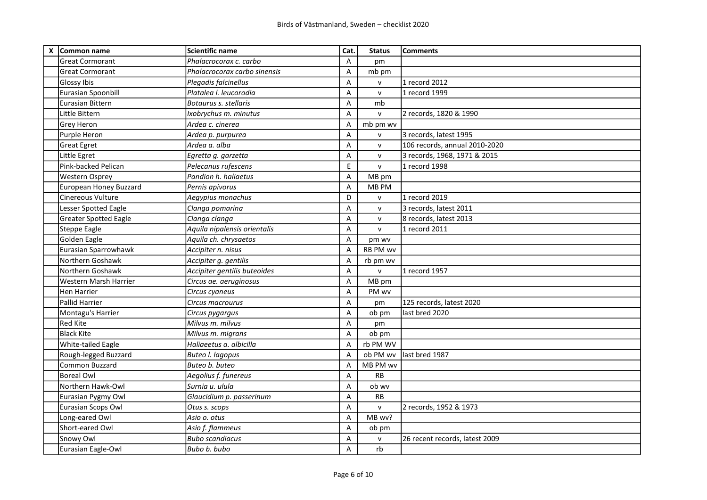| X Common name                | <b>Scientific name</b>       | Cat.                      | <b>Status</b>   | <b>Comments</b>                |
|------------------------------|------------------------------|---------------------------|-----------------|--------------------------------|
| <b>Great Cormorant</b>       | Phalacrocorax c. carbo       | A                         | pm              |                                |
| <b>Great Cormorant</b>       | Phalacrocorax carbo sinensis | A                         | mb pm           |                                |
| Glossy Ibis                  | Plegadis falcinellus         | A                         | $\mathsf{v}$    | 1 record 2012                  |
| Eurasian Spoonbill           | Platalea I. leucorodia       | A                         | $\mathsf{v}$    | 1 record 1999                  |
| lEurasian Bittern            | Botaurus s. stellaris        | Α                         | mb              |                                |
| Little Bittern               | Ixobrychus m. minutus        | $\overline{A}$            | $\mathsf{v}$    | 2 records, 1820 & 1990         |
| Grey Heron                   | Ardea c. cinerea             | A                         | mb pm wv        |                                |
| Purple Heron                 | Ardea p. purpurea            | A                         | $\mathsf{v}$    | 3 records, latest 1995         |
| Great Egret                  | Ardea a. alba                | Α                         | $\mathsf{v}$    | 106 records, annual 2010-2020  |
| Little Egret                 | Egretta g. garzetta          | Α                         | v               | 3 records, 1968, 1971 & 2015   |
| Pink-backed Pelican          | Pelecanus rufescens          | $\mathsf E$               | $\mathsf{v}$    | 1 record 1998                  |
| <b>Western Osprey</b>        | Pandion h. haliaetus         | A                         | MB pm           |                                |
| European Honey Buzzard       | Pernis apivorus              | A                         | MB PM           |                                |
| Cinereous Vulture            | Aegypius monachus            | D                         | $\mathsf{v}$    | 1 record 2019                  |
| <b>Lesser Spotted Eagle</b>  | Clanga pomarina              | A                         | $\mathsf{v}$    | 3 records, latest 2011         |
| <b>Greater Spotted Eagle</b> | Clanga clanga                | Α                         | $\mathsf{v}$    | 8 records, latest 2013         |
| Steppe Eagle                 | Aquila nipalensis orientalis | Α                         | $\mathsf{v}$    | 1 record 2011                  |
| Golden Eagle                 | Aquila ch. chrysaetos        | $\overline{A}$            | pm wv           |                                |
| Eurasian Sparrowhawk         | Accipiter n. nisus           | A                         | <b>RB PM wv</b> |                                |
| Northern Goshawk             | Accipiter g. gentilis        | A                         | rb pm wv        |                                |
| Northern Goshawk             | Accipiter gentilis buteoides | A                         | $\mathsf{v}$    | 1 record 1957                  |
| Western Marsh Harrier        | Circus ae. aeruginosus       | A                         | MB pm           |                                |
| <b>Hen Harrier</b>           | Circus cyaneus               | Α                         | PM wv           |                                |
| lPallid Harrier              | Circus macrourus             | Α                         | pm              | 125 records, latest 2020       |
| Montagu's Harrier            | Circus pygargus              | A                         | ob pm           | last bred 2020                 |
| <b>Red Kite</b>              | Milvus m. milvus             | A                         | pm              |                                |
| <b>Black Kite</b>            | Milvus m. migrans            | A                         | ob pm           |                                |
| <b>White-tailed Eagle</b>    | Haliaeetus a. albicilla      | A                         | rb PM WV        |                                |
| Rough-legged Buzzard         | Buteo I. lagopus             | A                         | ob PM wv        | last bred 1987                 |
| Common Buzzard               | Buteo b. buteo               | A                         | MB PM wv        |                                |
| Boreal Owl                   | Aegolius f. funereus         | A                         | <b>RB</b>       |                                |
| Northern Hawk-Owl            | Surnia u. ulula              | A                         | ob wv           |                                |
| Eurasian Pygmy Owl           | Glaucidium p. passerinum     | Α                         | RB              |                                |
| Eurasian Scops Owl           | Otus s. scops                | A                         | $\mathsf{v}$    | 2 records, 1952 & 1973         |
| Long-eared Owl               | Asio o. otus                 | A                         | MB wv?          |                                |
| Short-eared Owl              | Asio f. flammeus             | $\boldsymbol{\mathsf{A}}$ | ob pm           |                                |
| Snowy Owl                    | <b>Bubo scandiacus</b>       | Α                         | $\mathsf{V}$    | 26 recent records, latest 2009 |
| Eurasian Eagle-Owl           | Bubo b. bubo                 | A                         | rb              |                                |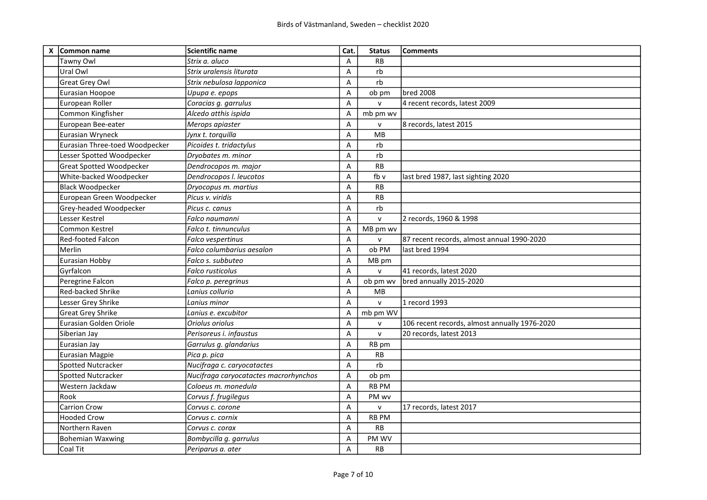| X | Common name                     | Scientific name                       | Cat.           | <b>Status</b> | <b>Comments</b>                               |
|---|---------------------------------|---------------------------------------|----------------|---------------|-----------------------------------------------|
|   | Tawny Owl                       | Strix a. aluco                        | Α              | <b>RB</b>     |                                               |
|   | Ural Owl                        | Strix uralensis liturata              | Α              | rb            |                                               |
|   | <b>Great Grey Owl</b>           | Strix nebulosa lapponica              | A              | rb            |                                               |
|   | Eurasian Hoopoe                 | Upupa e. epops                        | Α              | ob pm         | <b>bred 2008</b>                              |
|   | European Roller                 | Coracias g. garrulus                  | Α              | $\mathsf{v}$  | 4 recent records, latest 2009                 |
|   | Common Kingfisher               | Alcedo atthis ispida                  | Α              | mb pm wv      |                                               |
|   | European Bee-eater              | Merops apiaster                       | Α              | ${\sf v}$     | 8 records, latest 2015                        |
|   | Eurasian Wryneck                | Jynx t. torquilla                     | Α              | <b>MB</b>     |                                               |
|   | Eurasian Three-toed Woodpecker  | Picoides t. tridactylus               | A              | rb            |                                               |
|   | Lesser Spotted Woodpecker       | Dryobates m. minor                    | Α              | rb            |                                               |
|   | <b>Great Spotted Woodpecker</b> | Dendrocopos m. major                  | Α              | <b>RB</b>     |                                               |
|   | White-backed Woodpecker         | Dendrocopos I. leucotos               | Α              | fb v          | last bred 1987, last sighting 2020            |
|   | <b>Black Woodpecker</b>         | Dryocopus m. martius                  | Α              | <b>RB</b>     |                                               |
|   | European Green Woodpecker       | Picus v. viridis                      | $\overline{A}$ | <b>RB</b>     |                                               |
|   | Grey-headed Woodpecker          | Picus c. canus                        | Α              | rb            |                                               |
|   | Lesser Kestrel                  | Falco naumanni                        | Α              | ${\sf v}$     | 2 records, 1960 & 1998                        |
|   | Common Kestrel                  | Falco t. tinnunculus                  | Α              | MB pm wv      |                                               |
|   | Red-footed Falcon               | Falco vespertinus                     | Α              | $\mathsf{v}$  | 87 recent records, almost annual 1990-2020    |
|   | Merlin                          | Falco columbarius aesalon             | $\overline{A}$ | ob PM         | last bred 1994                                |
|   | Eurasian Hobby                  | Falco s. subbuteo                     | Α              | MB pm         |                                               |
|   | Gyrfalcon                       | Falco rusticolus                      | Α              | $\mathsf{v}$  | 41 records, latest 2020                       |
|   | Peregrine Falcon                | Falco p. peregrinus                   | $\overline{A}$ | ob pm wv      | bred annually 2015-2020                       |
|   | <b>Red-backed Shrike</b>        | Lanius collurio                       | Α              | MB            |                                               |
|   | Lesser Grey Shrike              | Lanius minor                          | Α              | $\mathsf{V}$  | 1 record 1993                                 |
|   | <b>Great Grey Shrike</b>        | Lanius e. excubitor                   | $\overline{A}$ | mb pm WV      |                                               |
|   | Eurasian Golden Oriole          | Oriolus oriolus                       | Α              | $\mathsf{v}$  | 106 recent records, almost annually 1976-2020 |
|   | Siberian Jay                    | Perisoreus i. infaustus               | Α              | $\mathsf{v}$  | 20 records, latest 2013                       |
|   | Eurasian Jay                    | Garrulus g. glandarius                | Α              | RB pm         |                                               |
|   | <b>Eurasian Magpie</b>          | Pica p. pica                          | Α              | <b>RB</b>     |                                               |
|   | Spotted Nutcracker              | Nucifraga c. caryocatactes            | Α              | rb            |                                               |
|   | Spotted Nutcracker              | Nucifraga caryocatactes macrorhynchos | Α              | ob pm         |                                               |
|   | Western Jackdaw                 | Coloeus m. monedula                   | A              | <b>RB PM</b>  |                                               |
|   | Rook                            | Corvus f. frugilegus                  | Α              | PM wv         |                                               |
|   | <b>Carrion Crow</b>             | Corvus c. corone                      | Α              | ${\sf v}$     | 17 records, latest 2017                       |
|   | <b>Hooded Crow</b>              | Corvus c. cornix                      | Α              | RB PM         |                                               |
|   | Northern Raven                  | Corvus c. corax                       | Α              | <b>RB</b>     |                                               |
|   | <b>Bohemian Waxwing</b>         | Bombycilla g. garrulus                | Α              | PM WV         |                                               |
|   | Coal Tit                        | Periparus a. ater                     | A              | <b>RB</b>     |                                               |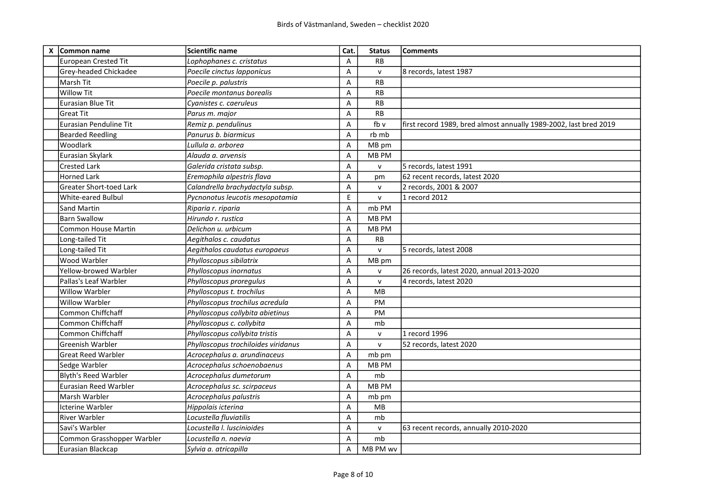| X | Common name                    | <b>Scientific name</b>              | Cat.           | <b>Status</b> | Comments                                                          |
|---|--------------------------------|-------------------------------------|----------------|---------------|-------------------------------------------------------------------|
|   | <b>European Crested Tit</b>    | Lophophanes c. cristatus            | A              | <b>RB</b>     |                                                                   |
|   | Grey-headed Chickadee          | Poecile cinctus lapponicus          | Α              | $\mathsf{v}$  | 8 records, latest 1987                                            |
|   | Marsh Tit                      | Poecile p. palustris                | A              | RB            |                                                                   |
|   | <b>Willow Tit</b>              | Poecile montanus borealis           | Α              | <b>RB</b>     |                                                                   |
|   | <b>Eurasian Blue Tit</b>       | Cyanistes c. caeruleus              | Α              | RB            |                                                                   |
|   | <b>Great Tit</b>               | Parus m. major                      | $\overline{A}$ | <b>RB</b>     |                                                                   |
|   | <b>Eurasian Penduline Tit</b>  | Remiz p. pendulinus                 | Α              | fb v          | first record 1989, bred almost annually 1989-2002, last bred 2019 |
|   | <b>Bearded Reedling</b>        | Panurus b. biarmicus                | $\overline{A}$ | rb mb         |                                                                   |
|   | Woodlark                       | Lullula a. arborea                  | A              | MB pm         |                                                                   |
|   | Eurasian Skylark               | Alauda a. arvensis                  | Α              | MB PM         |                                                                   |
|   | <b>Crested Lark</b>            | Galerida cristata subsp.            | Α              | $\mathsf{v}$  | 5 records, latest 1991                                            |
|   | <b>Horned Lark</b>             | Eremophila alpestris flava          | A              | pm            | 62 recent records, latest 2020                                    |
|   | <b>Greater Short-toed Lark</b> | Calandrella brachydactyla subsp.    | A              | $\mathsf{v}$  | 2 records, 2001 & 2007                                            |
|   | <b>White-eared Bulbul</b>      | Pycnonotus leucotis mesopotamia     | E              | $\mathsf{v}$  | 1 record 2012                                                     |
|   | Sand Martin                    | Riparia r. riparia                  | A              | mb PM         |                                                                   |
|   | <b>Barn Swallow</b>            | Hirundo r. rustica                  | Α              | MB PM         |                                                                   |
|   | Common House Martin            | Delichon u. urbicum                 | A              | MB PM         |                                                                   |
|   | Long-tailed Tit                | Aegithalos c. caudatus              | A              | RB            |                                                                   |
|   | Long-tailed Tit                | Aegithalos caudatus europaeus       | $\overline{A}$ | $\mathsf{v}$  | 5 records, latest 2008                                            |
|   | Wood Warbler                   | Phylloscopus sibilatrix             | $\overline{A}$ | MB pm         |                                                                   |
|   | Yellow-browed Warbler          | Phylloscopus inornatus              | Α              | $\mathsf{v}$  | 26 records, latest 2020, annual 2013-2020                         |
|   | Pallas's Leaf Warbler          | Phylloscopus proregulus             | A              | $\mathsf{v}$  | 4 records, latest 2020                                            |
|   | Willow Warbler                 | Phylloscopus t. trochilus           | A              | MB            |                                                                   |
|   | Willow Warbler                 | Phylloscopus trochilus acredula     | A              | PM            |                                                                   |
|   | Common Chiffchaff              | Phylloscopus collybita abietinus    | A              | PM            |                                                                   |
|   | Common Chiffchaff              | Phylloscopus c. collybita           | Α              | mb            |                                                                   |
|   | Common Chiffchaff              | Phylloscopus collybita tristis      | Α              | $\mathsf{V}$  | 1 record 1996                                                     |
|   | Greenish Warbler               | Phylloscopus trochiloides viridanus | A              | $\mathsf{v}$  | 52 records, latest 2020                                           |
|   | <b>Great Reed Warbler</b>      | Acrocephalus a. arundinaceus        | Α              | mb pm         |                                                                   |
|   | Sedge Warbler                  | Acrocephalus schoenobaenus          | A              | MB PM         |                                                                   |
|   | <b>Blyth's Reed Warbler</b>    | Acrocephalus dumetorum              | $\overline{A}$ | mb            |                                                                   |
|   | Eurasian Reed Warbler          | Acrocephalus sc. scirpaceus         | A              | MB PM         |                                                                   |
|   | Marsh Warbler                  | Acrocephalus palustris              | Α              | mb pm         |                                                                   |
|   | Icterine Warbler               | Hippolais icterina                  | Α              | MB            |                                                                   |
|   | <b>River Warbler</b>           | Locustella fluviatilis              | A              | mb            |                                                                   |
|   | Savi's Warbler                 | Locustella I. luscinioides          | A              | $\mathsf{v}$  | 63 recent records, annually 2010-2020                             |
|   | Common Grasshopper Warbler     | Locustella n. naevia                | A              | mb            |                                                                   |
|   | Eurasian Blackcap              | Sylvia a. atricapilla               | A              | MB PM wv      |                                                                   |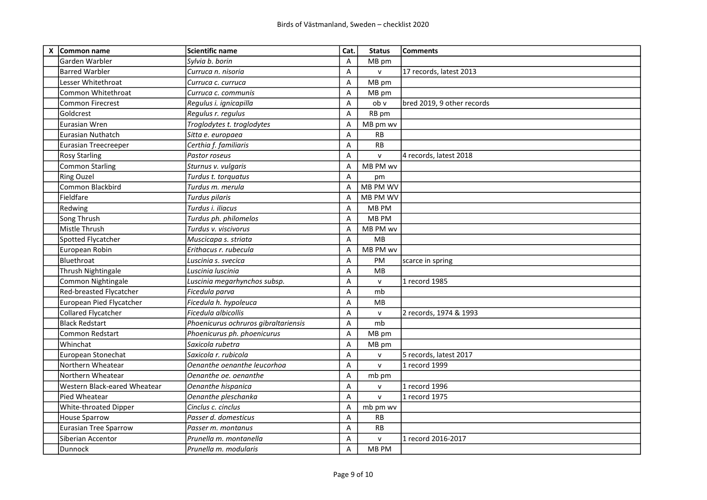| X Common name                | <b>Scientific name</b>               | Cat.           | <b>Status</b> | <b>Comments</b>            |
|------------------------------|--------------------------------------|----------------|---------------|----------------------------|
| Garden Warbler               | Sylvia b. borin                      | A              | MB pm         |                            |
| <b>Barred Warbler</b>        | Curruca n. nisoria                   | A              | $\mathsf{v}$  | 17 records, latest 2013    |
| Lesser Whitethroat           | Curruca c. curruca                   | A              | MB pm         |                            |
| Common Whitethroat           | Curruca c. communis                  | Α              | MB pm         |                            |
| <b>Common Firecrest</b>      | Regulus i. ignicapilla               | A              | ob v          | bred 2019, 9 other records |
| <b>Goldcrest</b>             | Regulus r. regulus                   | A              | RB pm         |                            |
| lEurasian Wren               | Troglodytes t. troglodytes           | Α              | MB pm wv      |                            |
| Eurasian Nuthatch            | Sitta e. europaea                    | A              | <b>RB</b>     |                            |
| Eurasian Treecreeper         | Certhia f. familiaris                | Α              | <b>RB</b>     |                            |
| <b>Rosy Starling</b>         | Pastor roseus                        | Α              | $\mathsf{v}$  | 4 records, latest 2018     |
| Common Starling              | Sturnus v. vulgaris                  | A              | MB PM wv      |                            |
| <b>Ring Ouzel</b>            | Turdus t. torquatus                  | A              | pm            |                            |
| Common Blackbird             | Turdus m. merula                     | A              | MB PM WV      |                            |
| Fieldfare                    | <b>Turdus pilaris</b>                | $\overline{A}$ | MB PM WV      |                            |
| Redwing                      | Turdus i. iliacus                    | Α              | MB PM         |                            |
| Song Thrush                  | Turdus ph. philomelos                | A              | MB PM         |                            |
| Mistle Thrush                | Turdus v. viscivorus                 | A              | MB PM wv      |                            |
| Spotted Flycatcher           | Muscicapa s. striata                 | $\overline{A}$ | <b>MB</b>     |                            |
| European Robin               | Erithacus r. rubecula                | A              | MB PM wv      |                            |
| Bluethroat                   | Luscinia s. svecica                  | A              | PM            | scarce in spring           |
| Thrush Nightingale           | Luscinia luscinia                    | Α              | <b>MB</b>     |                            |
| Common Nightingale           | Luscinia megarhynchos subsp.         | Α              | $\mathsf{V}$  | 1 record 1985              |
| Red-breasted Flycatcher      | Ficedula parva                       | Α              | mb            |                            |
| European Pied Flycatcher     | Ficedula h. hypoleuca                | A              | MB            |                            |
| Collared Flycatcher          | Ficedula albicollis                  | A              | $\mathsf{V}$  | 2 records, 1974 & 1993     |
| <b>Black Redstart</b>        | Phoenicurus ochruros gibraltariensis | A              | mb            |                            |
| <b>Common Redstart</b>       | Phoenicurus ph. phoenicurus          | Α              | MB pm         |                            |
| Whinchat                     | Saxicola rubetra                     | Α              | MB pm         |                            |
| European Stonechat           | Saxicola r. rubicola                 | A              | $\mathsf{v}$  | 5 records, latest 2017     |
| Northern Wheatear            | Oenanthe oenanthe leucorhoa          | Α              | $\mathsf{v}$  | 1 record 1999              |
| Northern Wheatear            | Oenanthe oe. oenanthe                | A              | mb pm         |                            |
| Western Black-eared Wheatear | Oenanthe hispanica                   | A              | $\mathsf{V}$  | 1 record 1996              |
| Pied Wheatear                | Oenanthe pleschanka                  | Α              | $\mathsf{v}$  | 1 record 1975              |
| <b>White-throated Dipper</b> | Cinclus c. cinclus                   | Α              | mb pm wv      |                            |
| House Sparrow                | Passer d. domesticus                 | A              | <b>RB</b>     |                            |
| Eurasian Tree Sparrow        | Passer m. montanus                   | A              | <b>RB</b>     |                            |
| Siberian Accentor            | Prunella m. montanella               | A              | $\mathsf{v}$  | 1 record 2016-2017         |
| Dunnock                      | Prunella m. modularis                | Α              | MB PM         |                            |